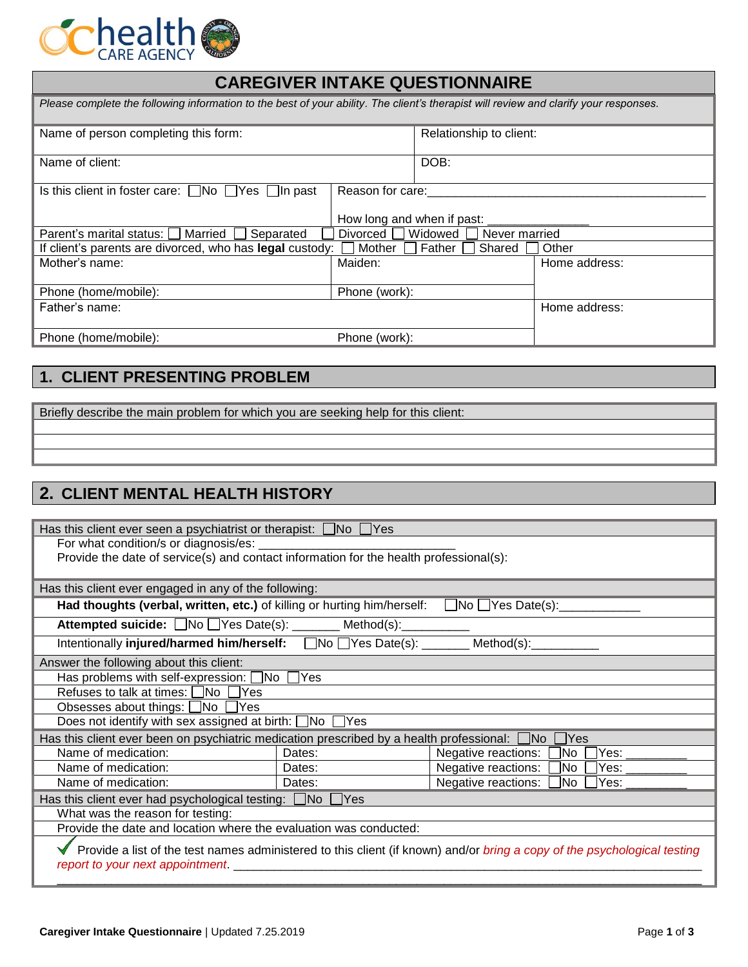

| <b>CAREGIVER INTAKE QUESTIONNAIRE</b>                                                                                                 |                            |                         |               |  |
|---------------------------------------------------------------------------------------------------------------------------------------|----------------------------|-------------------------|---------------|--|
| Please complete the following information to the best of your ability. The client's therapist will review and clarify your responses. |                            |                         |               |  |
| Name of person completing this form:                                                                                                  |                            | Relationship to client: |               |  |
| Name of client:                                                                                                                       |                            | DOB:                    |               |  |
| Is this client in foster care: $\Box$ No $\Box$ Yes $\Box$ In past<br>Reason for care:                                                |                            |                         |               |  |
|                                                                                                                                       | How long and when if past: |                         |               |  |
| Parent's marital status: $\Box$ Married<br>Separated                                                                                  | Divorced     Widowed       | Never married           |               |  |
| If client's parents are divorced, who has legal custody:                                                                              | Mother                     | Father<br>Shared        | Other         |  |
| Mother's name:                                                                                                                        | Maiden:                    |                         | Home address: |  |
| Phone (home/mobile):                                                                                                                  | Phone (work):              |                         |               |  |
| Father's name:                                                                                                                        |                            |                         | Home address: |  |
| Phone (home/mobile):                                                                                                                  | Phone (work):              |                         |               |  |

# **1. CLIENT PRESENTING PROBLEM**

Briefly describe the main problem for which you are seeking help for this client:

# **2. CLIENT MENTAL HEALTH HISTORY**

| Has this client ever seen a psychiatrist or therapist: $\Box$ No $\Box$ Yes                                              |        |                                      |  |  |
|--------------------------------------------------------------------------------------------------------------------------|--------|--------------------------------------|--|--|
| For what condition/s or diagnosis/es: _                                                                                  |        |                                      |  |  |
| Provide the date of service(s) and contact information for the health professional(s):                                   |        |                                      |  |  |
|                                                                                                                          |        |                                      |  |  |
| Has this client ever engaged in any of the following:                                                                    |        |                                      |  |  |
| Had thoughts (verbal, written, etc.) of killing or hurting him/herself: $\Box$ No $\Box$ Yes Date(s):                    |        |                                      |  |  |
| Attempted suicide: No Ves Date(s): ______ Method(s): ________                                                            |        |                                      |  |  |
| Intentionally injured/harmed him/herself: No TYes Date(s): _______ Method(s): _________                                  |        |                                      |  |  |
| Answer the following about this client:                                                                                  |        |                                      |  |  |
| Has problems with self-expression: △No △Yes                                                                              |        |                                      |  |  |
| Refuses to talk at times: $\Box$ No $\Box$ Yes                                                                           |        |                                      |  |  |
| Obsesses about things: □No □Yes                                                                                          |        |                                      |  |  |
| Does not identify with sex assigned at birth: $\Box$ No $\Box$ Yes                                                       |        |                                      |  |  |
| Has this client ever been on psychiatric medication prescribed by a health professional: $\Box$ No $\Box$ Yes            |        |                                      |  |  |
| Name of medication:                                                                                                      | Dates: | Yes:<br>Negative reactions:<br> No   |  |  |
| Name of medication:                                                                                                      | Dates: | Negative reactions:<br>]No  <br>Yes: |  |  |
| Name of medication:                                                                                                      | Dates: | Negative reactions:<br>]No<br>Yes:   |  |  |
| Has this client ever had psychological testing: $\Box$ No $\Box$ Yes                                                     |        |                                      |  |  |
| What was the reason for testing:                                                                                         |        |                                      |  |  |
| Provide the date and location where the evaluation was conducted:                                                        |        |                                      |  |  |
| Provide a list of the test names administered to this client (if known) and/or bring a copy of the psychological testing |        |                                      |  |  |
| report to your next appointment.                                                                                         |        |                                      |  |  |
|                                                                                                                          |        |                                      |  |  |
|                                                                                                                          |        |                                      |  |  |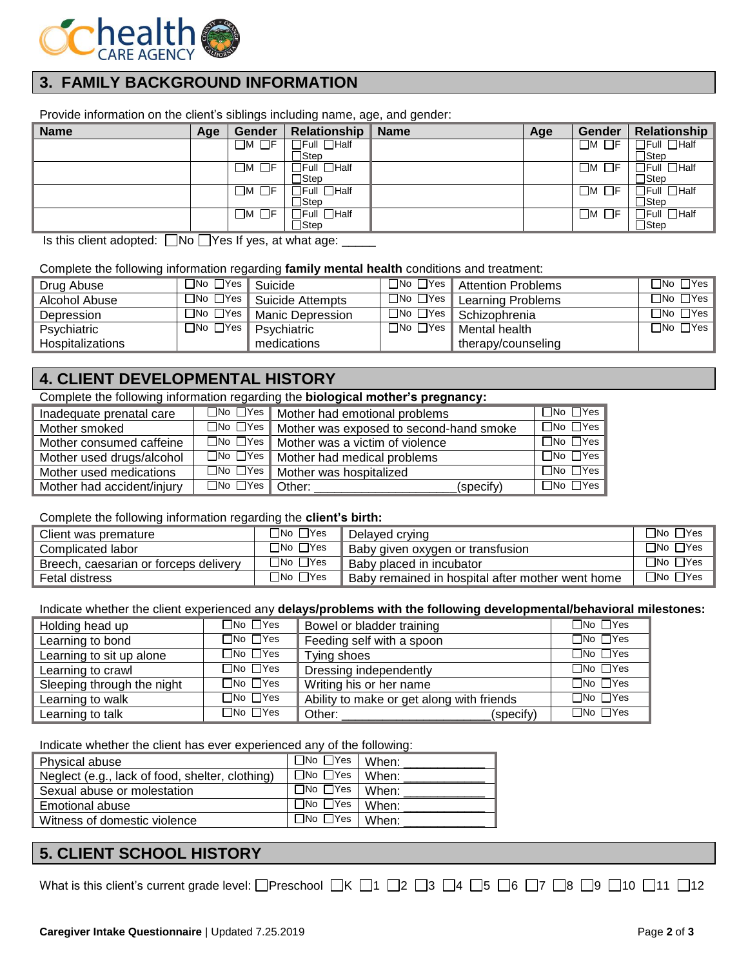

## **3. FAMILY BACKGROUND INFORMATION**

Provide information on the client's siblings including name, age, and gender:

| <b>Name</b> | Age | Gender                  | Relationship               | <b>Name</b> | Age | Gender           | <b>Relationship</b>        |
|-------------|-----|-------------------------|----------------------------|-------------|-----|------------------|----------------------------|
|             |     | $\square$ м $\square$ ғ | ]Full □Half                |             |     | - F<br>$\Box$ M  | $\exists$ Full $\Box$ Half |
|             |     |                         | $\sqsupset$ Step           |             |     |                  | コStep                      |
|             |     | $\Box$ M $\Box$ F       | $\exists$ Full $\Box$ Half |             |     | ، Fr<br>$\Box$ M | $\Box$ Half<br>∃Full       |
|             |     |                         | ∃Step                      |             |     |                  | □Step                      |
|             |     | $\square$ M $\square$ F | TFull ∏Half                |             |     | . 1F<br>_M       | $\Box$ Half<br>าิFull      |
|             |     |                         | $\sqsupset$ Step           |             |     |                  | <b>Step</b>                |
|             |     | $\square$ м $\square$ ғ | $\exists$ Full $\Box$ Half |             |     | $\Box$ M<br>□F   | $\Box$ Half<br>∃Full       |
|             |     |                         | $\sqsupset$ Step           |             |     |                  | $\Box$ Step                |

Is this client adopted:  $\Box$  No  $\Box$  Yes If yes, at what age:  $\Box$ 

#### Complete the following information regarding **family mental health** conditions and treatment:

| Drug Abuse              | $\Box$ No $\Box$ Yes I | <sup>1</sup> Suicide | $\Box$ No $\Box$ Yes       | <b>Attention Problems</b> | $\Box$ No $\Box$ Yes I       |
|-------------------------|------------------------|----------------------|----------------------------|---------------------------|------------------------------|
| Alcohol Abuse           | $\Box$ No $\Box$ Yes   | ∎ Suicide Attempts   | $\square$ No $\square$ Yes | Learning Problems         | $\Box$ No $\Box$ Yes $\Vert$ |
| Depression              | $\Box$ No $\Box$ Yes   | Manic Depression     | $\square$ No $\square$ Yes | Schizophrenia             | $\Box$ No $\Box$ Yes $\Vert$ |
| Psychiatric             | $\Box$ No $\Box$ Yes   | Psychiatric          | ⊡No □Yes                   | Mental health             | $\Box$ No $\Box$ Yes         |
| <b>Hospitalizations</b> |                        | medications          |                            | therapy/counseling        |                              |

### **4. CLIENT DEVELOPMENTAL HISTORY**

#### Complete the following information regarding the **biological mother's pregnancy:**

| Inadequate prenatal care   | $\Box$ No $\Box$ Yes | Mother had emotional problems           | $\sqcap$ No $\sqcap$ Yes $\sqcap$ |
|----------------------------|----------------------|-----------------------------------------|-----------------------------------|
| Mother smoked              | $\Box$ No $\Box$ Yes | Mother was exposed to second-hand smoke | $\Box$ No $\Box$ Yes              |
| Mother consumed caffeine   | $\Box$ No $\Box$ Yes | Mother was a victim of violence         | $\Box$ No $\Box$ Yes              |
| Mother used drugs/alcohol  | $\Box$ No $\Box$ Yes | Mother had medical problems             | $\Box$ No $\Box$ Yes I            |
| Mother used medications    | $\Box$ No $\Box$ Yes | Mother was hospitalized                 | $\Box$ No $\Box$ Yes              |
| Mother had accident/injury | $\Box$ No $\Box$ Yes | Other:<br>(specify)                     | $\Box$ No $\Box$ Yes              |

#### Complete the following information regarding the **client's birth:**

| Client was premature                  | $\Box$ No $\Box$ Yes | Delaved crving                                   | $\Box$ No $\Box$ Yes |
|---------------------------------------|----------------------|--------------------------------------------------|----------------------|
| Complicated labor                     | $\Box$ No $\Box$ Yes | . Baby given oxygen or transfusion               | $\Box$ No $\Box$ Yes |
| Breech, caesarian or forceps delivery | $\Box$ No $\Box$ Yes | Baby placed in incubator                         | $\Box$ No $\Box$ Yes |
| Fetal distress                        | $\Box$ No $\Box$ Yes | Baby remained in hospital after mother went home | $\Box$ No $\Box$ Yes |

#### Indicate whether the client experienced any **delays/problems with the following developmental/behavioral milestones:**

| Holding head up            | $\Box$ No $\Box$ Yes | Bowel or bladder training                 | $\Box$ No $\Box$ Yes |
|----------------------------|----------------------|-------------------------------------------|----------------------|
| Learning to bond           | $\Box$ No $\Box$ Yes | Feeding self with a spoon                 | $\Box$ No $\Box$ Yes |
| Learning to sit up alone   | $\Box$ No $\Box$ Yes | Tying shoes                               | $\Box$ No $\Box$ Yes |
| Learning to crawl          | $\Box$ No $\Box$ Yes | Dressing independently                    | $\Box$ No $\Box$ Yes |
| Sleeping through the night | $\Box$ No $\Box$ Yes | Writing his or her name                   | $\Box$ No $\Box$ Yes |
| Learning to walk           | $\Box$ No $\Box$ Yes | Ability to make or get along with friends | $\Box$ No $\Box$ Yes |
| Learning to talk           | $\Box$ No $\Box$ Yes | Other:<br>(specify)                       | $\Box$ No $\Box$ Yes |

Indicate whether the client has ever experienced any of the following:

| Physical abuse                                  | $\sqrt{2}$ No $\sqrt{2}$ Yes   When:    |  |
|-------------------------------------------------|-----------------------------------------|--|
| Neglect (e.g., lack of food, shelter, clothing) | $\overline{\Box}$ No $\Box$ Yes   When: |  |
| Sexual abuse or molestation                     | $\square$ No $\square$ Yes   When:      |  |
| Emotional abuse                                 | $\overline{\Box}$ No $\Box$ Yes   When: |  |
| Witness of domestic violence                    | □No □Yes   When:                        |  |

### **5. CLIENT SCHOOL HISTORY**

What is this client's current grade level: **Preschool R 3 4 3 4 5 6 7 6 7 8 9 7** 10  $\overline{0}$  11  $\overline{0}$  12